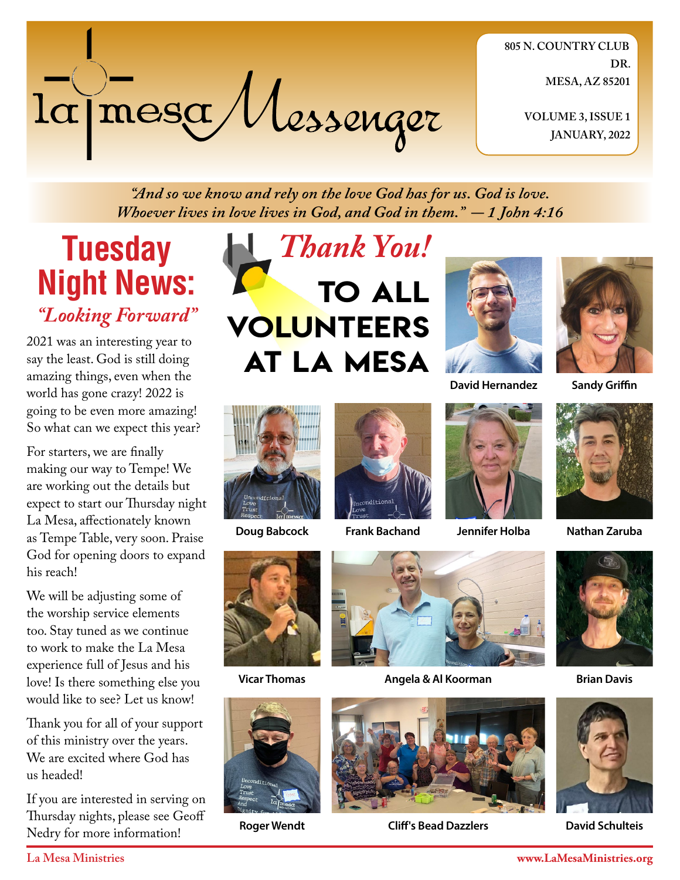

**805 N. COUNTRY CLUB DR. MESA, AZ 85201**

> **VOLUME 3, ISSUE 1 JANUARY, 2022**

*"And so we know and rely on the love God has for us. God is love. Whoever lives in love lives in God, and God in them." - 1 John 4:16*

# **Tuesday Night News:** *"Looking Forward"*

2021 was an interesting year to say the least. God is still doing amazing things, even when the world has gone crazy! 2022 is going to be even more amazing! So what can we expect this year?

For starters, we are finally making our way to Tempe! We are working out the details but expect to start our Thursday night La Mesa, affectionately known as Tempe Table, very soon. Praise God for opening doors to expand his reach!

We will be adjusting some of the worship service elements too. Stay tuned as we continue to work to make the La Mesa experience full of Jesus and his love! Is there something else you would like to see? Let us know!

Thank you for all of your support of this ministry over the years. We are excited where God has us headed!

If you are interested in serving on Thursday nights, please see Geoff Nedry for more information!









**Sandy Griffin**







**Doug Babcock Frank Bachand Jennifer Holba**



**Nathan Zaruba**



**Vicar Thomas**



**Roger Wendt**



**Angela & Al Koorman Brian Davis** 



**Cliff's Bead Dazzlers**





**David Schulteis**